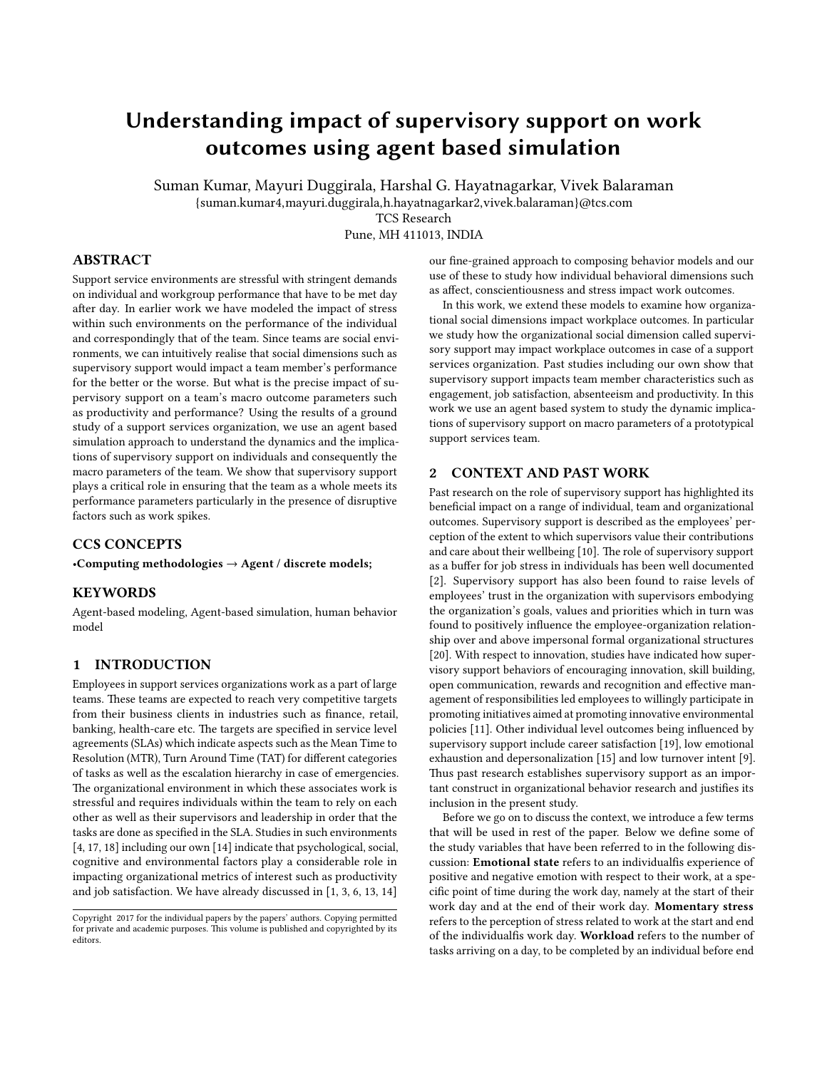# Understanding impact of supervisory support on work outcomes using agent based simulation

Suman Kumar, Mayuri Duggirala, Harshal G. Hayatnagarkar, Vivek Balaraman

{suman.kumar4,mayuri.duggirala,h.hayatnagarkar2,vivek.balaraman}@tcs.com

TCS Research

Pune, MH 411013, INDIA

## ABSTRACT

Support service environments are stressful with stringent demands on individual and workgroup performance that have to be met day after day. In earlier work we have modeled the impact of stress within such environments on the performance of the individual and correspondingly that of the team. Since teams are social environments, we can intuitively realise that social dimensions such as supervisory support would impact a team member's performance for the better or the worse. But what is the precise impact of supervisory support on a team's macro outcome parameters such as productivity and performance? Using the results of a ground study of a support services organization, we use an agent based simulation approach to understand the dynamics and the implications of supervisory support on individuals and consequently the macro parameters of the team. We show that supervisory support plays a critical role in ensuring that the team as a whole meets its performance parameters particularly in the presence of disruptive factors such as work spikes.

### CCS CONCEPTS

•Computing methodologies  $\rightarrow$  Agent / discrete models;

#### **KEYWORDS**

Agent-based modeling, Agent-based simulation, human behavior model

### 1 INTRODUCTION

Employees in support services organizations work as a part of large teams. These teams are expected to reach very competitive targets from their business clients in industries such as finance, retail, banking, health-care etc. The targets are specified in service level agreements (SLAs) which indicate aspects such as the Mean Time to Resolution (MTR), Turn Around Time (TAT) for different categories of tasks as well as the escalation hierarchy in case of emergencies. The organizational environment in which these associates work is stressful and requires individuals within the team to rely on each other as well as their supervisors and leadership in order that the tasks are done as specified in the SLA. Studies in such environments [\[4,](#page-4-0) [17,](#page-4-1) [18\]](#page-4-2) including our own [\[14\]](#page-4-3) indicate that psychological, social, cognitive and environmental factors play a considerable role in impacting organizational metrics of interest such as productivity and job satisfaction. We have already discussed in [\[1,](#page-4-4) [3,](#page-4-5) [6,](#page-4-6) [13,](#page-4-7) [14\]](#page-4-3)

our fine-grained approach to composing behavior models and our use of these to study how individual behavioral dimensions such as affect, conscientiousness and stress impact work outcomes.

In this work, we extend these models to examine how organizational social dimensions impact workplace outcomes. In particular we study how the organizational social dimension called supervisory support may impact workplace outcomes in case of a support services organization. Past studies including our own show that supervisory support impacts team member characteristics such as engagement, job satisfaction, absenteeism and productivity. In this work we use an agent based system to study the dynamic implications of supervisory support on macro parameters of a prototypical support services team.

#### 2 CONTEXT AND PAST WORK

Past research on the role of supervisory support has highlighted its beneficial impact on a range of individual, team and organizational outcomes. Supervisory support is described as the employees' perception of the extent to which supervisors value their contributions and care about their wellbeing  $[10]$ . The role of supervisory support as a buffer for job stress in individuals has been well documented [\[2\]](#page-4-9). Supervisory support has also been found to raise levels of employees' trust in the organization with supervisors embodying the organization's goals, values and priorities which in turn was found to positively influence the employee-organization relationship over and above impersonal formal organizational structures [\[20\]](#page-4-10). With respect to innovation, studies have indicated how supervisory support behaviors of encouraging innovation, skill building, open communication, rewards and recognition and effective management of responsibilities led employees to willingly participate in promoting initiatives aimed at promoting innovative environmental policies [\[11\]](#page-4-11). Other individual level outcomes being influenced by supervisory support include career satisfaction [\[19\]](#page-4-12), low emotional exhaustion and depersonalization [\[15\]](#page-4-13) and low turnover intent [\[9\]](#page-4-14). Thus past research establishes supervisory support as an important construct in organizational behavior research and justifies its inclusion in the present study.

Before we go on to discuss the context, we introduce a few terms that will be used in rest of the paper. Below we define some of the study variables that have been referred to in the following discussion: Emotional state refers to an individualfis experience of positive and negative emotion with respect to their work, at a specific point of time during the work day, namely at the start of their work day and at the end of their work day. Momentary stress refers to the perception of stress related to work at the start and end of the individualfis work day. Workload refers to the number of tasks arriving on a day, to be completed by an individual before end

Copyright 2017 for the individual papers by the papers' authors. Copying permitted for private and academic purposes. This volume is published and copyrighted by its editors.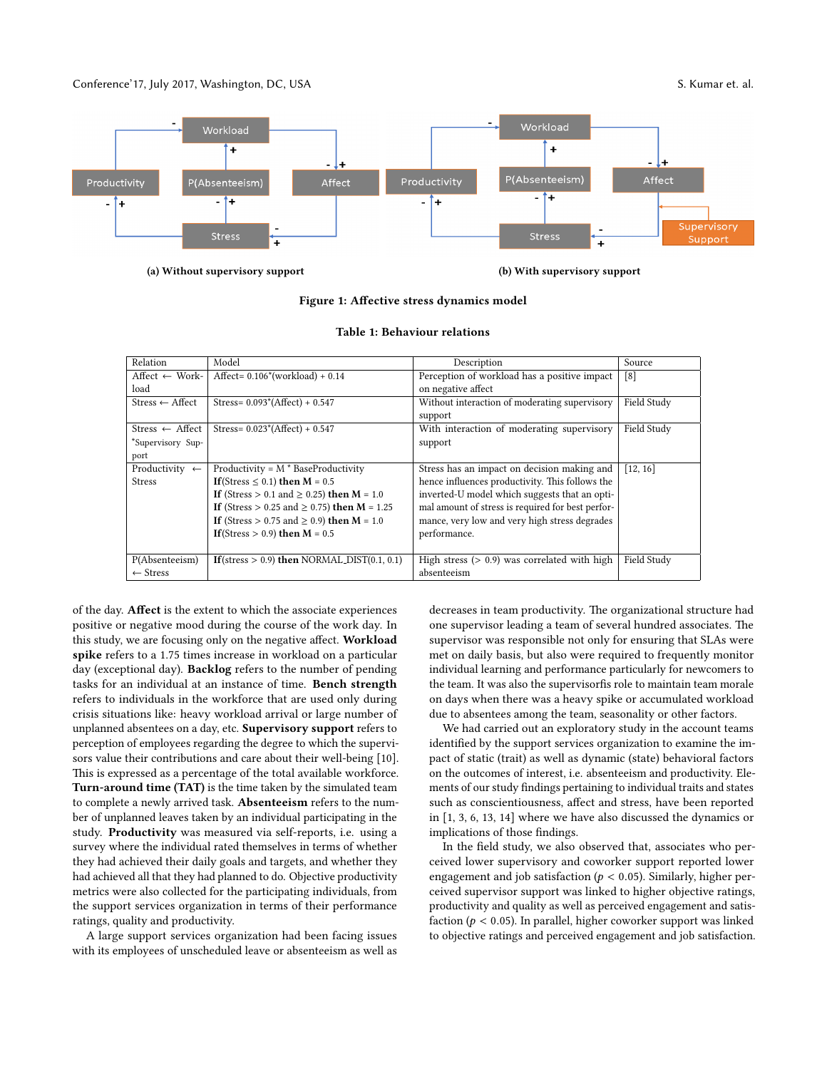Conference'17, July 2017, Washington, DC, USA S. Kumar et. al.

<span id="page-1-0"></span>

#### (a) Without supervisory support (b) With supervisory support

#### Figure 1: Affective stress dynamics model

<span id="page-1-1"></span>

| Relation                    | Model                                            | Description                                       | Source            |
|-----------------------------|--------------------------------------------------|---------------------------------------------------|-------------------|
| Affect $\leftarrow$ Work-   | Affect= $0.106*(workload) + 0.14$                | Perception of workload has a positive impact      | $\lceil 8 \rceil$ |
| load                        |                                                  | on negative affect                                |                   |
| $Stress \leftarrow Afteret$ | Stress= $0.093*(Afteret) + 0.547$                | Without interaction of moderating supervisory     | Field Study       |
|                             |                                                  | support                                           |                   |
| Stress $\leftarrow$ Affect  | Stress= $0.023*(Afteret) + 0.547$                | With interaction of moderating supervisory        | Field Study       |
| *Supervisory Sup-           |                                                  | support                                           |                   |
| port                        |                                                  |                                                   |                   |
| Productivity $\leftarrow$   | Productivity = $M * BaseProductivity$            | Stress has an impact on decision making and       | [12, 16]          |
| <b>Stress</b>               | If (Stress $\leq$ 0.1) then $M = 0.5$            | hence influences productivity. This follows the   |                   |
|                             | If (Stress > 0.1 and $\geq$ 0.25) then M = 1.0   | inverted-U model which suggests that an opti-     |                   |
|                             | If (Stress > 0.25 and $\geq$ 0.75) then M = 1.25 | mal amount of stress is required for best perfor- |                   |
|                             | If (Stress > 0.75 and $\geq$ 0.9) then M = 1.0   | mance, very low and very high stress degrades     |                   |
|                             | If (Stress $> 0.9$ ) then $M = 0.5$              | performance.                                      |                   |
|                             |                                                  |                                                   |                   |
| P(Absenteeism)              | If (stress $> 0.9$ ) then NORMAL_DIST(0.1, 0.1)  | High stress $(> 0.9)$ was correlated with high    | Field Study       |
| $\leftarrow$ Stress         |                                                  | absenteeism                                       |                   |

#### Table 1: Behaviour relations

of the day. Affect is the extent to which the associate experiences positive or negative mood during the course of the work day. In this study, we are focusing only on the negative affect. Workload spike refers to a 1.75 times increase in workload on a particular day (exceptional day). Backlog refers to the number of pending tasks for an individual at an instance of time. Bench strength refers to individuals in the workforce that are used only during crisis situations like: heavy workload arrival or large number of unplanned absentees on a day, etc. Supervisory support refers to perception of employees regarding the degree to which the supervisors value their contributions and care about their well-being [\[10\]](#page-4-8). This is expressed as a percentage of the total available workforce. Turn-around time (TAT) is the time taken by the simulated team to complete a newly arrived task. Absenteeism refers to the number of unplanned leaves taken by an individual participating in the study. Productivity was measured via self-reports, i.e. using a survey where the individual rated themselves in terms of whether they had achieved their daily goals and targets, and whether they had achieved all that they had planned to do. Objective productivity metrics were also collected for the participating individuals, from the support services organization in terms of their performance ratings, quality and productivity.

A large support services organization had been facing issues with its employees of unscheduled leave or absenteeism as well as decreases in team productivity. The organizational structure had one supervisor leading a team of several hundred associates. The supervisor was responsible not only for ensuring that SLAs were met on daily basis, but also were required to frequently monitor individual learning and performance particularly for newcomers to the team. It was also the supervisorfis role to maintain team morale on days when there was a heavy spike or accumulated workload due to absentees among the team, seasonality or other factors.

We had carried out an exploratory study in the account teams identified by the support services organization to examine the impact of static (trait) as well as dynamic (state) behavioral factors on the outcomes of interest, i.e. absenteeism and productivity. Elements of our study findings pertaining to individual traits and states such as conscientiousness, affect and stress, have been reported in [\[1,](#page-4-4) [3,](#page-4-5) [6,](#page-4-6) [13,](#page-4-7) [14\]](#page-4-3) where we have also discussed the dynamics or implications of those findings.

In the field study, we also observed that, associates who perceived lower supervisory and coworker support reported lower engagement and job satisfaction ( $p < 0.05$ ). Similarly, higher perceived supervisor support was linked to higher objective ratings, productivity and quality as well as perceived engagement and satisfaction ( $p < 0.05$ ). In parallel, higher coworker support was linked to objective ratings and perceived engagement and job satisfaction.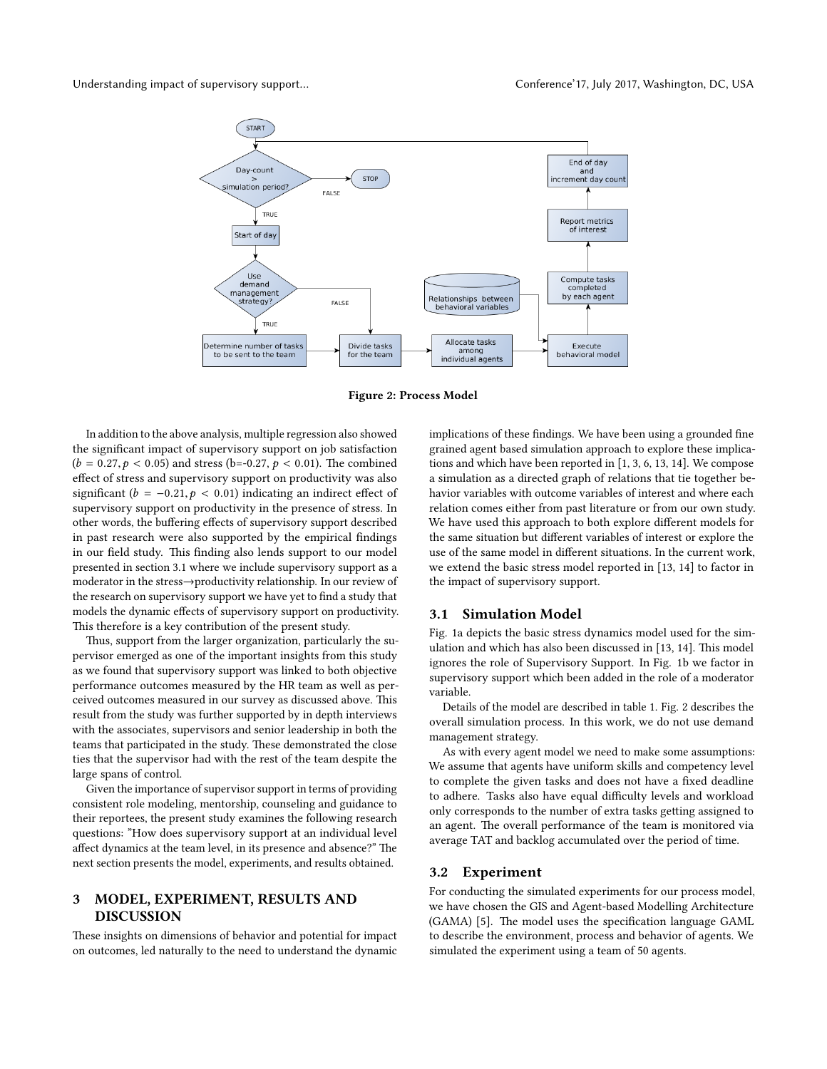<span id="page-2-0"></span>



Figure 2: Process Model

In addition to the above analysis, multiple regression also showed the significant impact of supervisory support on job satisfaction  $(b = 0.27, p < 0.05)$  and stress (b=-0.27,  $p < 0.01$ ). The combined effect of stress and supervisory support on productivity was also significant ( $b = -0.21, p < 0.01$ ) indicating an indirect effect of supervisory support on productivity in the presence of stress. In other words, the buffering effects of supervisory support described in past research were also supported by the empirical findings in our field study. This finding also lends support to our model presented in section 3.1 where we include supervisory support as a moderator in the stress→productivity relationship. In our review of the research on supervisory support we have yet to find a study that models the dynamic effects of supervisory support on productivity. This therefore is a key contribution of the present study.

Thus, support from the larger organization, particularly the supervisor emerged as one of the important insights from this study as we found that supervisory support was linked to both objective performance outcomes measured by the HR team as well as perceived outcomes measured in our survey as discussed above. This result from the study was further supported by in depth interviews with the associates, supervisors and senior leadership in both the teams that participated in the study. These demonstrated the close ties that the supervisor had with the rest of the team despite the large spans of control.

Given the importance of supervisor support in terms of providing consistent role modeling, mentorship, counseling and guidance to their reportees, the present study examines the following research questions: "How does supervisory support at an individual level affect dynamics at the team level, in its presence and absence?" The next section presents the model, experiments, and results obtained.

#### 3 MODEL, EXPERIMENT, RESULTS AND **DISCUSSION**

These insights on dimensions of behavior and potential for impact on outcomes, led naturally to the need to understand the dynamic implications of these findings. We have been using a grounded fine grained agent based simulation approach to explore these implications and which have been reported in [\[1,](#page-4-4) [3,](#page-4-5) [6,](#page-4-6) [13,](#page-4-7) [14\]](#page-4-3). We compose a simulation as a directed graph of relations that tie together behavior variables with outcome variables of interest and where each relation comes either from past literature or from our own study. We have used this approach to both explore different models for the same situation but different variables of interest or explore the use of the same model in different situations. In the current work, we extend the basic stress model reported in [\[13,](#page-4-7) [14\]](#page-4-3) to factor in the impact of supervisory support.

#### 3.1 Simulation Model

Fig. [1a](#page-1-0) depicts the basic stress dynamics model used for the sim-ulation and which has also been discussed in [\[13,](#page-4-7) [14\]](#page-4-3). This model ignores the role of Supervisory Support. In Fig. [1b](#page-1-0) we factor in supervisory support which been added in the role of a moderator variable.

Details of the model are described in table [1.](#page-1-1) Fig. [2](#page-2-0) describes the overall simulation process. In this work, we do not use demand management strategy.

As with every agent model we need to make some assumptions: We assume that agents have uniform skills and competency level to complete the given tasks and does not have a fixed deadline to adhere. Tasks also have equal difficulty levels and workload only corresponds to the number of extra tasks getting assigned to an agent. The overall performance of the team is monitored via average TAT and backlog accumulated over the period of time.

#### 3.2 Experiment

For conducting the simulated experiments for our process model, we have chosen the GIS and Agent-based Modelling Architecture (GAMA) [\[5\]](#page-4-18). The model uses the specification language GAML to describe the environment, process and behavior of agents. We simulated the experiment using a team of 50 agents.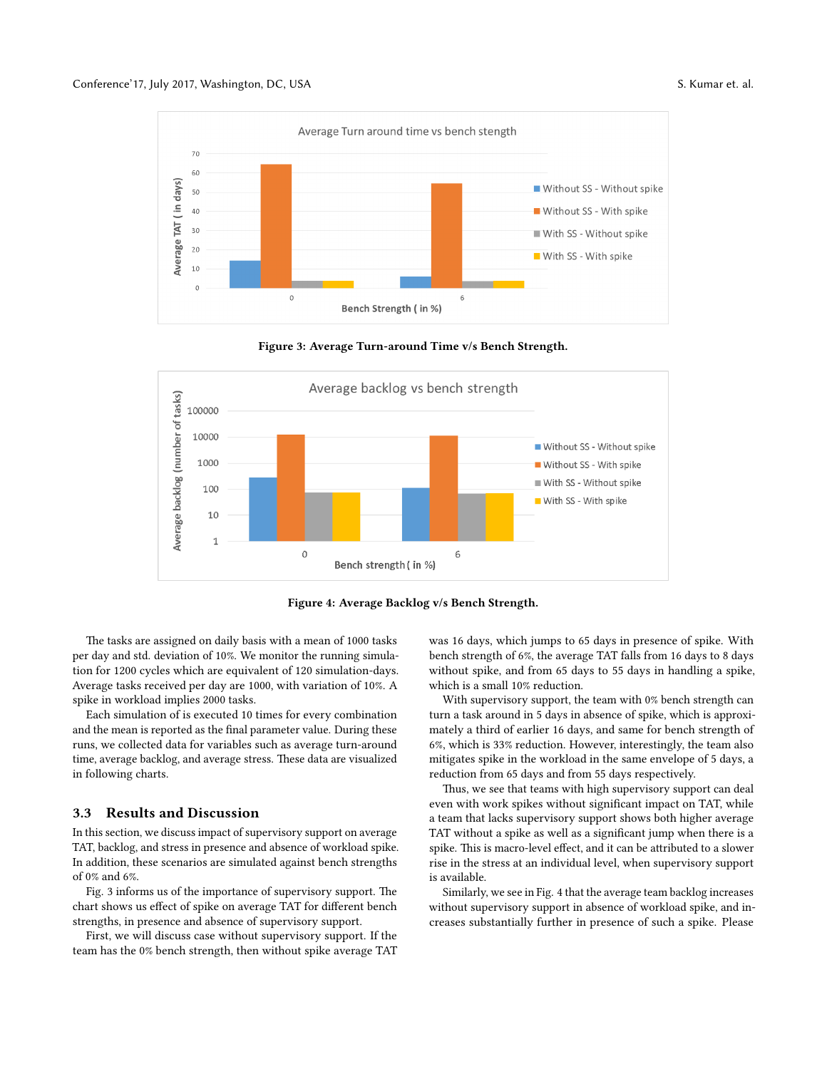<span id="page-3-0"></span>

Figure 3: Average Turn-around Time v/s Bench Strength.

<span id="page-3-1"></span>

Figure 4: Average Backlog v/s Bench Strength.

The tasks are assigned on daily basis with a mean of 1000 tasks per day and std. deviation of 10%. We monitor the running simulation for 1200 cycles which are equivalent of 120 simulation-days. Average tasks received per day are 1000, with variation of 10%. A spike in workload implies 2000 tasks.

Each simulation of is executed 10 times for every combination and the mean is reported as the final parameter value. During these runs, we collected data for variables such as average turn-around time, average backlog, and average stress. These data are visualized in following charts.

#### 3.3 Results and Discussion

In this section, we discuss impact of supervisory support on average TAT, backlog, and stress in presence and absence of workload spike. In addition, these scenarios are simulated against bench strengths of 0% and 6%.

Fig. [3](#page-3-0) informs us of the importance of supervisory support. The chart shows us effect of spike on average TAT for different bench strengths, in presence and absence of supervisory support.

First, we will discuss case without supervisory support. If the team has the 0% bench strength, then without spike average TAT was 16 days, which jumps to 65 days in presence of spike. With bench strength of 6%, the average TAT falls from 16 days to 8 days without spike, and from 65 days to 55 days in handling a spike, which is a small 10% reduction.

With supervisory support, the team with 0% bench strength can turn a task around in 5 days in absence of spike, which is approximately a third of earlier 16 days, and same for bench strength of 6%, which is 33% reduction. However, interestingly, the team also mitigates spike in the workload in the same envelope of 5 days, a reduction from 65 days and from 55 days respectively.

Thus, we see that teams with high supervisory support can deal even with work spikes without significant impact on TAT, while a team that lacks supervisory support shows both higher average TAT without a spike as well as a significant jump when there is a spike. This is macro-level effect, and it can be attributed to a slower rise in the stress at an individual level, when supervisory support is available.

Similarly, we see in Fig. [4](#page-3-1) that the average team backlog increases without supervisory support in absence of workload spike, and increases substantially further in presence of such a spike. Please